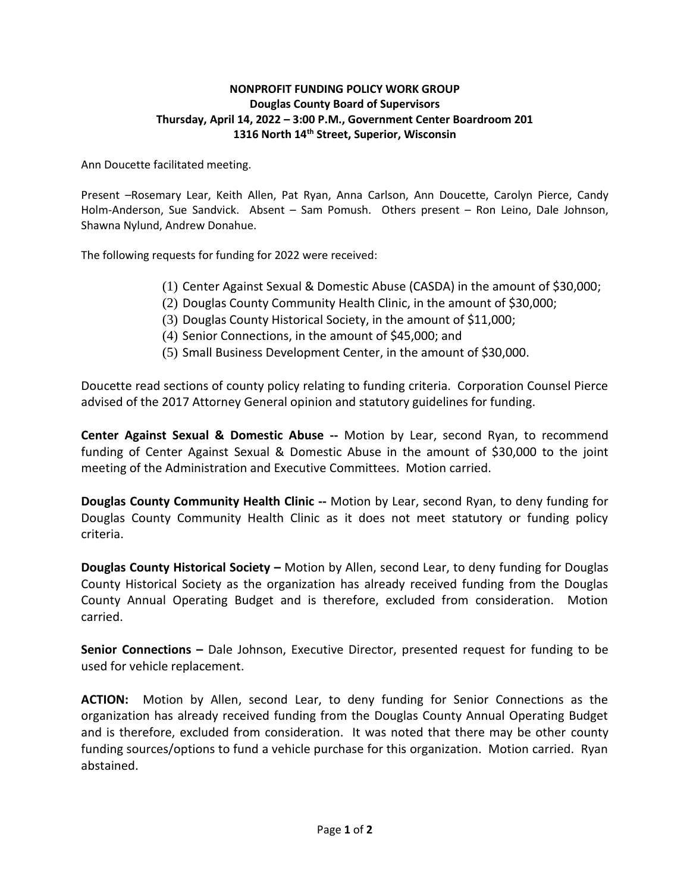## **NONPROFIT FUNDING POLICY WORK GROUP Douglas County Board of Supervisors Thursday, April 14, 2022 – 3:00 P.M., Government Center Boardroom 201 1316 North 14th Street, Superior, Wisconsin**

Ann Doucette facilitated meeting.

Present –Rosemary Lear, Keith Allen, Pat Ryan, Anna Carlson, Ann Doucette, Carolyn Pierce, Candy Holm-Anderson, Sue Sandvick. Absent – Sam Pomush. Others present – Ron Leino, Dale Johnson, Shawna Nylund, Andrew Donahue.

The following requests for funding for 2022 were received:

- (1) Center Against Sexual & Domestic Abuse (CASDA) in the amount of \$30,000;
- (2) Douglas County Community Health Clinic, in the amount of \$30,000;
- (3) Douglas County Historical Society, in the amount of \$11,000;
- (4) Senior Connections, in the amount of \$45,000; and
- (5) Small Business Development Center, in the amount of \$30,000.

Doucette read sections of county policy relating to funding criteria. Corporation Counsel Pierce advised of the 2017 Attorney General opinion and statutory guidelines for funding.

**Center Against Sexual & Domestic Abuse --** Motion by Lear, second Ryan, to recommend funding of Center Against Sexual & Domestic Abuse in the amount of \$30,000 to the joint meeting of the Administration and Executive Committees. Motion carried.

**Douglas County Community Health Clinic --** Motion by Lear, second Ryan, to deny funding for Douglas County Community Health Clinic as it does not meet statutory or funding policy criteria.

**Douglas County Historical Society –** Motion by Allen, second Lear, to deny funding for Douglas County Historical Society as the organization has already received funding from the Douglas County Annual Operating Budget and is therefore, excluded from consideration. Motion carried.

**Senior Connections -** Dale Johnson, Executive Director, presented request for funding to be used for vehicle replacement.

**ACTION:** Motion by Allen, second Lear, to deny funding for Senior Connections as the organization has already received funding from the Douglas County Annual Operating Budget and is therefore, excluded from consideration. It was noted that there may be other county funding sources/options to fund a vehicle purchase for this organization. Motion carried. Ryan abstained.